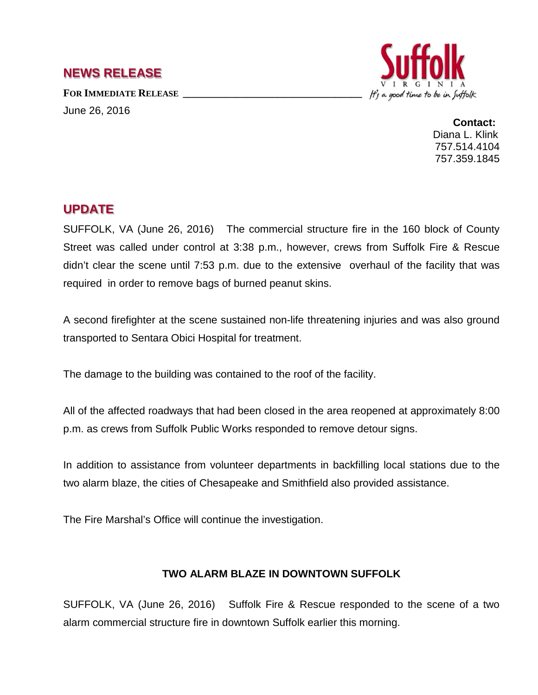## **NEWS RELEASE**

FOR **IMMEDIATE RELEASE** June 26, 2016



**Contact:** Diana L. Klink 757.514.4104 757.359.1845

## **UPDATE**

SUFFOLK, VA (June 26, 2016) The commercial structure fire in the 160 block of County Street was called under control at 3:38 p.m., however, crews from Suffolk Fire & Rescue didn't clear the scene until 7:53 p.m. due to the extensive overhaul of the facility that was required in order to remove bags of burned peanut skins.

A second firefighter at the scene sustained non-life threatening injuries and was also ground transported to Sentara Obici Hospital for treatment.

The damage to the building was contained to the roof of the facility.

All of the affected roadways that had been closed in the area reopened at approximately 8:00 p.m. as crews from Suffolk Public Works responded to remove detour signs.

In addition to assistance from volunteer departments in backfilling local stations due to the two alarm blaze, the cities of Chesapeake and Smithfield also provided assistance.

The Fire Marshal's Office will continue the investigation.

## **TWO ALARM BLAZE IN DOWNTOWN SUFFOLK**

SUFFOLK, VA (June 26, 2016) Suffolk Fire & Rescue responded to the scene of a two alarm commercial structure fire in downtown Suffolk earlier this morning.